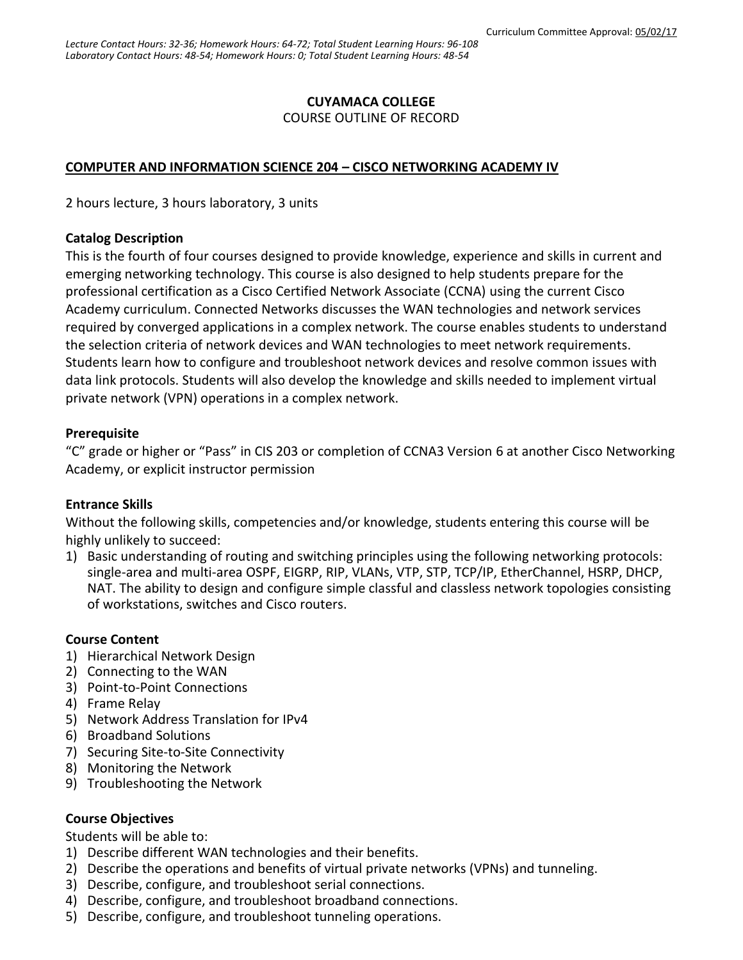## **CUYAMACA COLLEGE**

COURSE OUTLINE OF RECORD

#### **COMPUTER AND INFORMATION SCIENCE 204 – CISCO NETWORKING ACADEMY IV**

2 hours lecture, 3 hours laboratory, 3 units

#### **Catalog Description**

This is the fourth of four courses designed to provide knowledge, experience and skills in current and emerging networking technology. This course is also designed to help students prepare for the professional certification as a Cisco Certified Network Associate (CCNA) using the current Cisco Academy curriculum. Connected Networks discusses the WAN technologies and network services required by converged applications in a complex network. The course enables students to understand the selection criteria of network devices and WAN technologies to meet network requirements. Students learn how to configure and troubleshoot network devices and resolve common issues with data link protocols. Students will also develop the knowledge and skills needed to implement virtual private network (VPN) operations in a complex network.

## **Prerequisite**

"C" grade or higher or "Pass" in CIS 203 or completion of CCNA3 Version 6 at another Cisco Networking Academy, or explicit instructor permission

#### **Entrance Skills**

Without the following skills, competencies and/or knowledge, students entering this course will be highly unlikely to succeed:

1) Basic understanding of routing and switching principles using the following networking protocols: single-area and multi-area OSPF, EIGRP, RIP, VLANs, VTP, STP, TCP/IP, EtherChannel, HSRP, DHCP, NAT. The ability to design and configure simple classful and classless network topologies consisting of workstations, switches and Cisco routers.

## **Course Content**

- 1) Hierarchical Network Design
- 2) Connecting to the WAN
- 3) Point-to-Point Connections
- 4) Frame Relay
- 5) Network Address Translation for IPv4
- 6) Broadband Solutions
- 7) Securing Site-to-Site Connectivity
- 8) Monitoring the Network
- 9) Troubleshooting the Network

## **Course Objectives**

Students will be able to:

- 1) Describe different WAN technologies and their benefits.
- 2) Describe the operations and benefits of virtual private networks (VPNs) and tunneling.
- 3) Describe, configure, and troubleshoot serial connections.
- 4) Describe, configure, and troubleshoot broadband connections.
- 5) Describe, configure, and troubleshoot tunneling operations.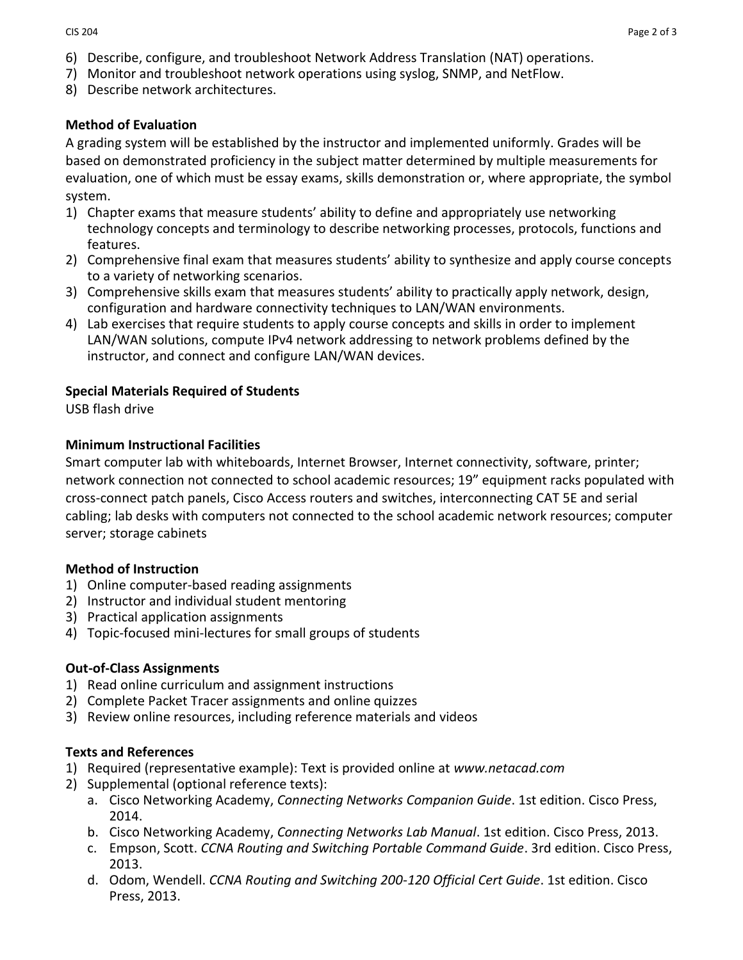- 6) Describe, configure, and troubleshoot Network Address Translation (NAT) operations.
- 7) Monitor and troubleshoot network operations using syslog, SNMP, and NetFlow.
- 8) Describe network architectures.

## **Method of Evaluation**

A grading system will be established by the instructor and implemented uniformly. Grades will be based on demonstrated proficiency in the subject matter determined by multiple measurements for evaluation, one of which must be essay exams, skills demonstration or, where appropriate, the symbol system.

- 1) Chapter exams that measure students' ability to define and appropriately use networking technology concepts and terminology to describe networking processes, protocols, functions and features.
- 2) Comprehensive final exam that measures students' ability to synthesize and apply course concepts to a variety of networking scenarios.
- 3) Comprehensive skills exam that measures students' ability to practically apply network, design, configuration and hardware connectivity techniques to LAN/WAN environments.
- 4) Lab exercises that require students to apply course concepts and skills in order to implement LAN/WAN solutions, compute IPv4 network addressing to network problems defined by the instructor, and connect and configure LAN/WAN devices.

## **Special Materials Required of Students**

USB flash drive

## **Minimum Instructional Facilities**

Smart computer lab with whiteboards, Internet Browser, Internet connectivity, software, printer; network connection not connected to school academic resources; 19" equipment racks populated with cross-connect patch panels, Cisco Access routers and switches, interconnecting CAT 5E and serial cabling; lab desks with computers not connected to the school academic network resources; computer server; storage cabinets

## **Method of Instruction**

- 1) Online computer-based reading assignments
- 2) Instructor and individual student mentoring
- 3) Practical application assignments
- 4) Topic-focused mini-lectures for small groups of students

## **Out-of-Class Assignments**

- 1) Read online curriculum and assignment instructions
- 2) Complete Packet Tracer assignments and online quizzes
- 3) Review online resources, including reference materials and videos

#### **Texts and References**

- 1) Required (representative example): Text is provided online at *www.netacad.com*
- 2) Supplemental (optional reference texts):
	- a. Cisco Networking Academy, *Connecting Networks Companion Guide*. 1st edition. Cisco Press, 2014.
	- b. Cisco Networking Academy, *Connecting Networks Lab Manual*. 1st edition. Cisco Press, 2013.
	- c. Empson, Scott. *CCNA Routing and Switching Portable Command Guide*. 3rd edition. Cisco Press, 2013.
	- d. Odom, Wendell. *CCNA Routing and Switching 200-120 Official Cert Guide*. 1st edition. Cisco Press, 2013.